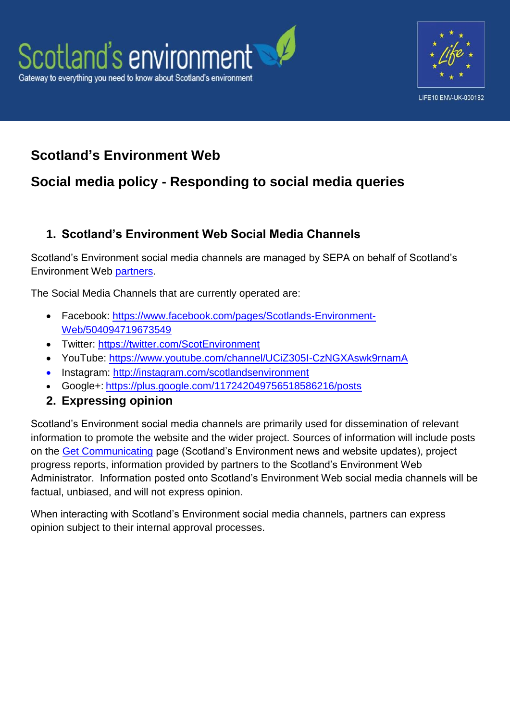



# **Scotland's Environment Web**

# **Social media policy - Responding to social media queries**

### **1. Scotland's Environment Web Social Media Channels**

Scotland's Environment social media channels are managed by SEPA on behalf of Scotland's Environment Web [partners.](http://www.environment.scotland.gov.uk/about-us/scotlands-environment-partners/)

The Social Media Channels that are currently operated are:

- Facebook: [https://www.facebook.com/pages/Scotlands-Environment-](https://www.facebook.com/pages/Scotlands-Environment-Web/504094719673549)[Web/504094719673549](https://www.facebook.com/pages/Scotlands-Environment-Web/504094719673549)
- Twitter:<https://twitter.com/ScotEnvironment>
- YouTube:<https://www.youtube.com/channel/UCiZ305I-CzNGXAswk9rnamA>
- Instagram:<http://instagram.com/scotlandsenvironment>
- Google+: <https://plus.google.com/117242049756518586216/posts>
- **2. Expressing opinion**

Scotland's Environment social media channels are primarily used for dissemination of relevant information to promote the website and the wider project. Sources of information will include posts on the [Get Communicating](http://www.environment.scotland.gov.uk/get-communicating) page (Scotland's Environment news and website updates), project progress reports, information provided by partners to the Scotland's Environment Web Administrator. Information posted onto Scotland's Environment Web social media channels will be factual, unbiased, and will not express opinion.

When interacting with Scotland's Environment social media channels, partners can express opinion subject to their internal approval processes.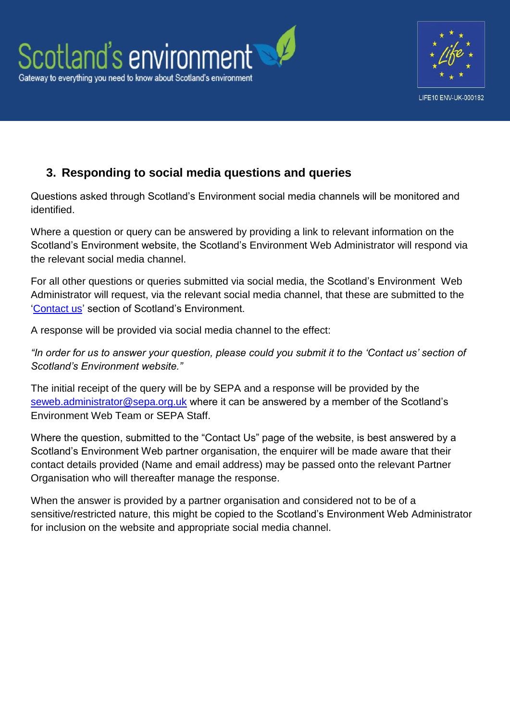



## **3. Responding to social media questions and queries**

Questions asked through Scotland's Environment social media channels will be monitored and identified.

Where a question or query can be answered by providing a link to relevant information on the Scotland's Environment website, the Scotland's Environment Web Administrator will respond via the relevant social media channel.

For all other questions or queries submitted via social media, the Scotland's Environment Web Administrator will request, via the relevant social media channel, that these are submitted to the ['Contact us'](http://www.environment.scotland.gov.uk/get-communicating/contact-us/) section of Scotland's Environment.

A response will be provided via social media channel to the effect:

*"In order for us to answer your question, please could you submit it to the 'Contact us' section of Scotland's Environment website."*

The initial receipt of the query will be by SEPA and a response will be provided by the [seweb.administrator@sepa.org.uk](mailto:SEWeb.Administrator@sepa.org.uk) where it can be answered by a member of the Scotland's Environment Web Team or SEPA Staff.

Where the question, submitted to the "Contact Us" page of the website, is best answered by a Scotland's Environment Web partner organisation, the enquirer will be made aware that their contact details provided (Name and email address) may be passed onto the relevant Partner Organisation who will thereafter manage the response.

When the answer is provided by a partner organisation and considered not to be of a sensitive/restricted nature, this might be copied to the Scotland's Environment Web Administrator for inclusion on the website and appropriate social media channel.